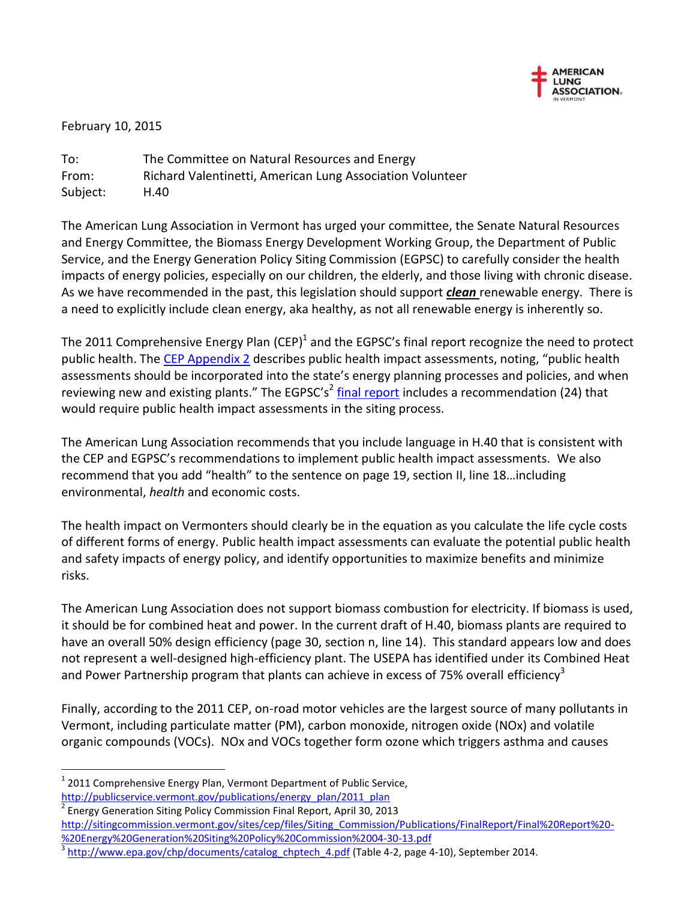

February 10, 2015

 $\overline{a}$ 

To: The Committee on Natural Resources and Energy From: Richard Valentinetti, American Lung Association Volunteer Subject: H.40

The American Lung Association in Vermont has urged your committee, the Senate Natural Resources and Energy Committee, the Biomass Energy Development Working Group, the Department of Public Service, and the Energy Generation Policy Siting Commission (EGPSC) to carefully consider the health impacts of energy policies, especially on our children, the elderly, and those living with chronic disease. As we have recommended in the past, this legislation should support *clean* renewable energy. There is a need to explicitly include clean energy, aka healthy, as not all renewable energy is inherently so.

The 2011 Comprehensive Energy Plan (CEP)<sup>1</sup> and the EGPSC's final report recognize the need to protect public health. The [CEP Appendix 2](http://publicservice.vermont.gov/publications/energy_plan/2011_plan) describes public health impact assessments, noting, "public health assessments should be incorporated into the state's energy planning processes and policies, and when reviewing new and existing plants." The EGPSC's<sup>2</sup> [final report](http://sitingcommission.vermont.gov/publications) includes a recommendation (24) that would require public health impact assessments in the siting process.

The American Lung Association recommends that you include language in H.40 that is consistent with the CEP and EGPSC's recommendations to implement public health impact assessments. We also recommend that you add "health" to the sentence on page 19, section II, line 18…including environmental, *health* and economic costs.

The health impact on Vermonters should clearly be in the equation as you calculate the life cycle costs of different forms of energy. Public health impact assessments can evaluate the potential public health and safety impacts of energy policy, and identify opportunities to maximize benefits and minimize risks.

The American Lung Association does not support biomass combustion for electricity. If biomass is used, it should be for combined heat and power. In the current draft of H.40, biomass plants are required to have an overall 50% design efficiency (page 30, section n, line 14). This standard appears low and does not represent a well-designed high-efficiency plant. The USEPA has identified under its Combined Heat and Power Partnership program that plants can achieve in excess of 75% overall efficiency<sup>3</sup>

Finally, according to the 2011 CEP, on-road motor vehicles are the largest source of many pollutants in Vermont, including particulate matter (PM), carbon monoxide, nitrogen oxide (NOx) and volatile organic compounds (VOCs). NOx and VOCs together form ozone which triggers asthma and causes

 $1$  2011 Comprehensive Energy Plan, Vermont Department of Public Service, [http://publicservice.vermont.gov/publications/energy\\_plan/2011\\_plan](http://publicservice.vermont.gov/publications/energy_plan/2011_plan) 2

Energy Generation Siting Policy Commission Final Report, April 30, 2013 [http://sitingcommission.vermont.gov/sites/cep/files/Siting\\_Commission/Publications/FinalReport/Final%20Report%20-](http://sitingcommission.vermont.gov/sites/cep/files/Siting_Commission/Publications/FinalReport/Final%20Report%20-%20Energy%20Generation%20Siting%20Policy%20Commission%2004-30-13.pdf) [%20Energy%20Generation%20Siting%20Policy%20Commission%2004-30-13.pdf](http://sitingcommission.vermont.gov/sites/cep/files/Siting_Commission/Publications/FinalReport/Final%20Report%20-%20Energy%20Generation%20Siting%20Policy%20Commission%2004-30-13.pdf)

<sup>3</sup> [http://www.epa.gov/chp/documents/catalog\\_chptech\\_4.pdf](http://www.epa.gov/chp/documents/catalog_chptech_4.pdf) (Table 4-2, page 4-10), September 2014.